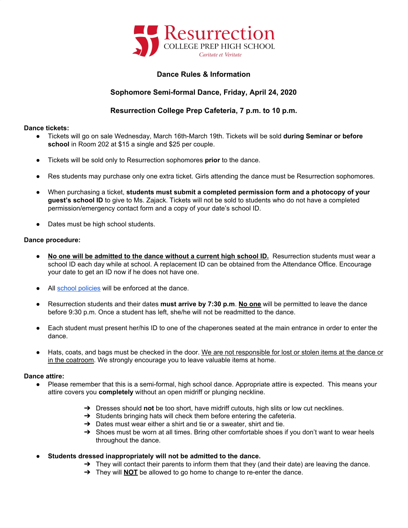

# **Dance Rules & Information**

# **Sophomore Semi-formal Dance, Friday, April 24, 2020**

# **Resurrection College Prep Cafeteria, 7 p.m. to 10 p.m.**

### **Dance tickets:**

- Tickets will go on sale Wednesday, March 16th-March 19th. Tickets will be sold **during Seminar or before school** in Room 202 at \$15 a single and \$25 per couple.
- Tickets will be sold only to Resurrection sophomores **prior** to the dance.
- Res students may purchase only one extra ticket. Girls attending the dance must be Resurrection sophomores.
- When purchasing a ticket, **students must submit a completed permission form and a photocopy of your guest's school ID** to give to Ms. Zajack. Tickets will not be sold to students who do not have a completed permission/emergency contact form and a copy of your date's school ID.
- Dates must be high school students.

### **Dance procedure:**

- **● No one will be admitted to the dance without a current high school ID.** Resurrection students must wear a school ID each day while at school. A replacement ID can be obtained from the Attendance Office. Encourage your date to get an ID now if he does not have one.
- All school [policies](http://www.reshs.org/school-policies---handbooks-pages-99.php) will be enforced at the dance.
- Resurrection students and their dates **must arrive by 7:30 p.m**. **No one** will be permitted to leave the dance before 9:30 p.m. Once a student has left, she/he will not be readmitted to the dance.
- Each student must present her/his ID to one of the chaperones seated at the main entrance in order to enter the dance.
- Hats, coats, and bags must be checked in the door. We are not responsible for lost or stolen items at the dance or in the coatroom. We strongly encourage you to leave valuable items at home.

#### **Dance attire:**

- Please remember that this is a semi-formal, high school dance. Appropriate attire is expected. This means your attire covers you **completely** without an open midriff or plunging neckline.
	- ➔ Dresses should **not** be too short, have midriff cutouts, high slits or low cut necklines.
	- $\rightarrow$  Students bringing hats will check them before entering the cafeteria.
	- $\rightarrow$  Dates must wear either a shirt and tie or a sweater, shirt and tie.
	- → Shoes must be worn at all times. Bring other comfortable shoes if you don't want to wear heels throughout the dance.
- **● Students dressed inappropriately will not be admitted to the dance.**
	- $\rightarrow$  They will contact their parents to inform them that they (and their date) are leaving the dance.
	- ➔ They will **NOT** be allowed to go home to change to re-enter the dance.